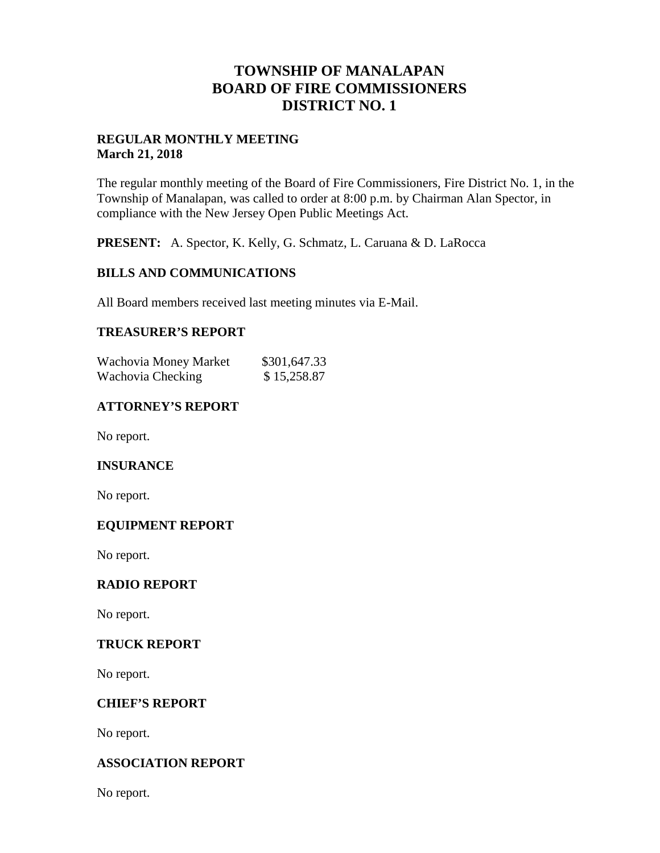## **TOWNSHIP OF MANALAPAN BOARD OF FIRE COMMISSIONERS DISTRICT NO. 1**

## **REGULAR MONTHLY MEETING March 21, 2018**

The regular monthly meeting of the Board of Fire Commissioners, Fire District No. 1, in the Township of Manalapan, was called to order at 8:00 p.m. by Chairman Alan Spector, in compliance with the New Jersey Open Public Meetings Act.

**PRESENT:** A. Spector, K. Kelly, G. Schmatz, L. Caruana & D. LaRocca

## **BILLS AND COMMUNICATIONS**

All Board members received last meeting minutes via E-Mail.

## **TREASURER'S REPORT**

| Wachovia Money Market | \$301,647.33 |
|-----------------------|--------------|
| Wachovia Checking     | \$15,258.87  |

## **ATTORNEY'S REPORT**

No report.

#### **INSURANCE**

No report.

#### **EQUIPMENT REPORT**

No report.

#### **RADIO REPORT**

No report.

#### **TRUCK REPORT**

No report.

#### **CHIEF'S REPORT**

No report.

#### **ASSOCIATION REPORT**

No report.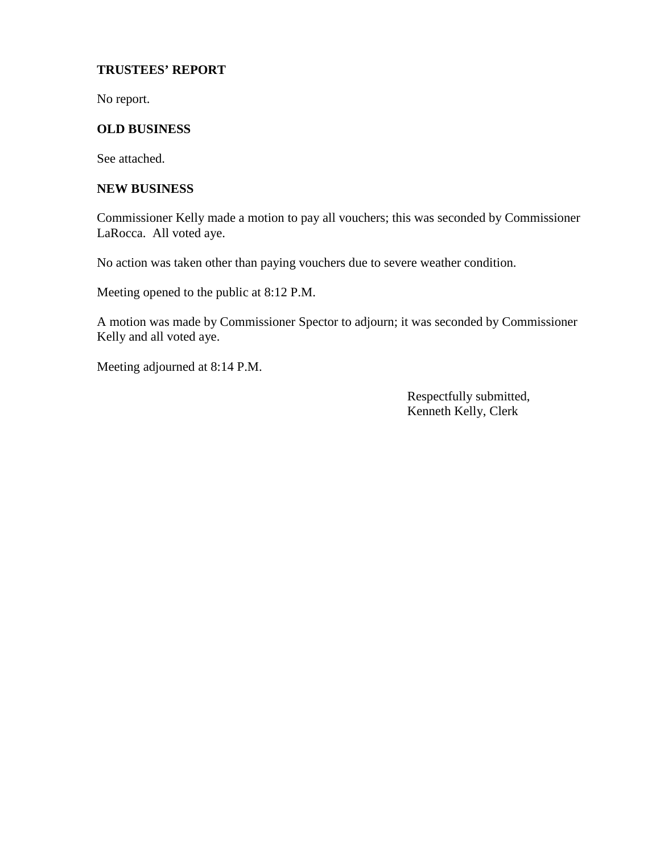#### **TRUSTEES' REPORT**

No report.

## **OLD BUSINESS**

See attached.

#### **NEW BUSINESS**

Commissioner Kelly made a motion to pay all vouchers; this was seconded by Commissioner LaRocca. All voted aye.

No action was taken other than paying vouchers due to severe weather condition.

Meeting opened to the public at 8:12 P.M.

A motion was made by Commissioner Spector to adjourn; it was seconded by Commissioner Kelly and all voted aye.

Meeting adjourned at 8:14 P.M.

Respectfully submitted, Kenneth Kelly, Clerk